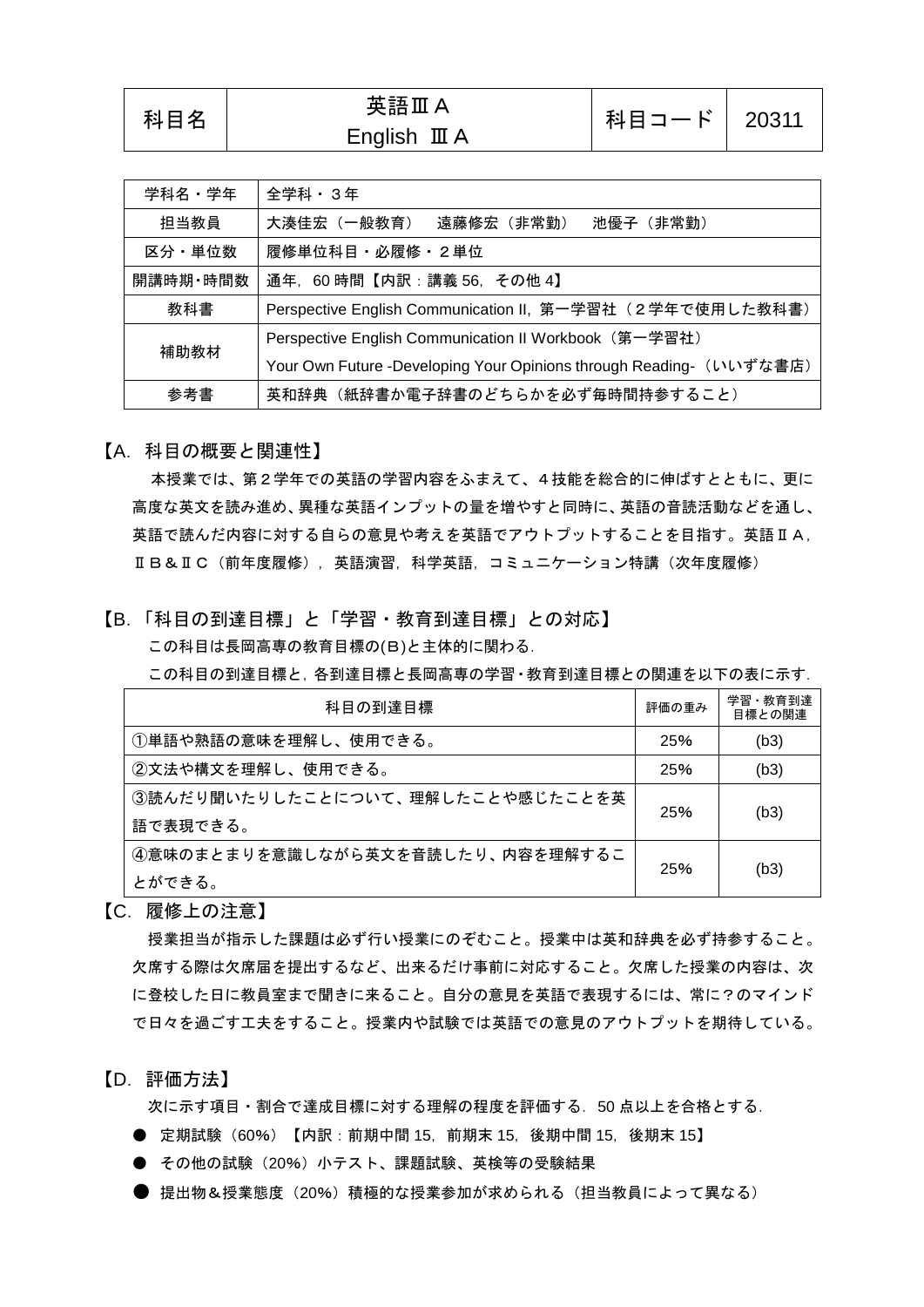| 学科名・学年   | 全学科・3年                                                              |  |  |
|----------|---------------------------------------------------------------------|--|--|
| 担当教員     | 大湊佳宏(一般教育) 遠藤修宏(非常勤)<br>池優子(非常勤)                                    |  |  |
| 区分・単位数   | 履修単位科目・必履修・2単位                                                      |  |  |
| 開講時期・時間数 | 通年, 60時間【内訳:講義 56, その他 4】                                           |  |  |
| 教科書      | Perspective English Communication II, 第一学習社 (2学年で使用した教科書)           |  |  |
| 補助教材     | Perspective English Communication II Workbook (第一学習社)               |  |  |
|          | Your Own Future -Developing Your Opinions through Reading- (いいずな書店) |  |  |
| 参考書      | 英和辞典(紙辞書か電子辞書のどちらかを必ず毎時間持参すること)                                     |  |  |

【A.科目の概要と関連性】

本授業では、第2学年での英語の学習内容をふまえて、4技能を総合的に伸ばすとともに、更に 高度な英文を読み進め、異種な英語インプットの量を増やすと同時に、英語の音読活動などを通し、 英語で読んだ内容に対する自らの意見や考えを英語でアウトプットすることを目指す。英語ⅡA, ⅡB&ⅡC(前年度履修), 英語演習, 科学英語, コミュニケーション特講(次年度履修)

【B.「科目の到達目標」と「学習・教育到達目標」との対応】

この科目は長岡高専の教育目標の(B)と主体的に関わる.

この科目の到達目標と,各到達目標と長岡高専の学習・教育到達目標との関連を以下の表に示す.

| 科目の到達目標                          | 評価の重み | 学習・教育到達<br>目標との関連 |
|----------------------------------|-------|-------------------|
| ①単語や熟語の意味を理解し、使用できる。             | 25%   | (b3)              |
| ②文法や構文を理解し、使用できる。                | 25%   | (b3)              |
| ③読んだり聞いたりしたことについて、理解したことや感じたことを英 | 25%   |                   |
| 語で表現できる。                         | (b3)  |                   |
| ④意味のまとまりを意識しながら英文を音読したり、内容を理解するこ | 25%   |                   |
| とができる。                           |       | (b3)              |

【C.履修上の注意】

授業担当が指示した課題は必ず行い授業にのぞむこと。授業中は英和辞典を必ず持参すること。 欠席する際は欠席届を提出するなど、出来るだけ事前に対応すること。欠席した授業の内容は、次 に登校した日に教員室まで聞きに来ること。自分の意見を英語で表現するには、常に?のマインド で日々を過ごす工夫をすること。授業内や試験では英語での意見のアウトプットを期待している。

【D.評価方法】

次に示す項目・割合で達成目標に対する理解の程度を評価する.50 点以上を合格とする.

- 定期試験(60%)【内訳:前期中間 15,前期末 15,後期中間 15,後期末 15】
- その他の試験(20%)小テスト、課題試験、英検等の受験結果
- 提出物&授業熊度(20%)積極的な授業参加が求められる(担当教員によって異なる)